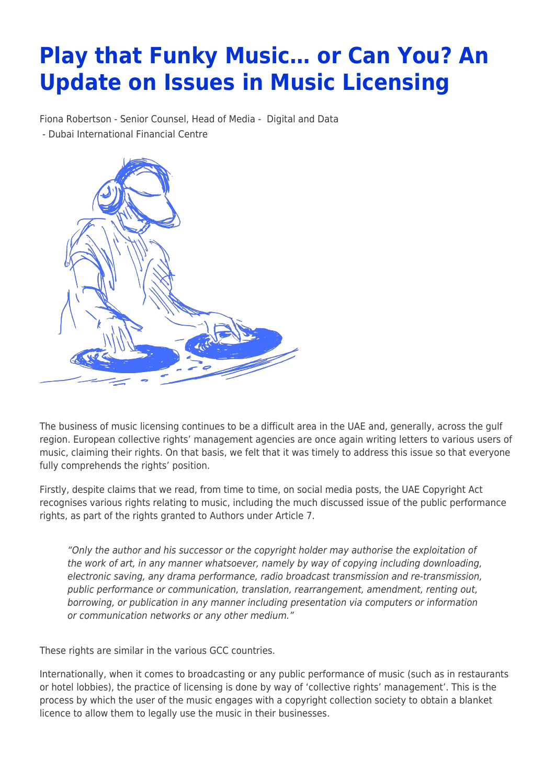## **Play that Funky Music… or Can You? An Update on Issues in Music Licensing**

Fiona Robertson - Senior Counsel, Head of Media - [Digital and Data](https://www.tamimi.com/client-services/practices/digital-data/) - [Dubai International Financial Centre](https://www.tamimi.com/locations/uae/)



The business of music licensing continues to be a difficult area in the UAE and, generally, across the gulf region. European collective rights' management agencies are once again writing letters to various users of music, claiming their rights. On that basis, we felt that it was timely to address this issue so that everyone fully comprehends the rights' position.

Firstly, despite claims that we read, from time to time, on social media posts, the UAE Copyright Act recognises various rights relating to music, including the much discussed issue of the public performance rights, as part of the rights granted to Authors under Article 7.

"Only the author and his successor or the copyright holder may authorise the exploitation of the work of art, in any manner whatsoever, namely by way of copying including downloading, electronic saving, any drama performance, radio broadcast transmission and re-transmission, public performance or communication, translation, rearrangement, amendment, renting out, borrowing, or publication in any manner including presentation via computers or information or communication networks or any other medium."

These rights are similar in the various GCC countries.

Internationally, when it comes to broadcasting or any public performance of music (such as in restaurants or hotel lobbies), the practice of licensing is done by way of 'collective rights' management'. This is the process by which the user of the music engages with a copyright collection society to obtain a blanket licence to allow them to legally use the music in their businesses.